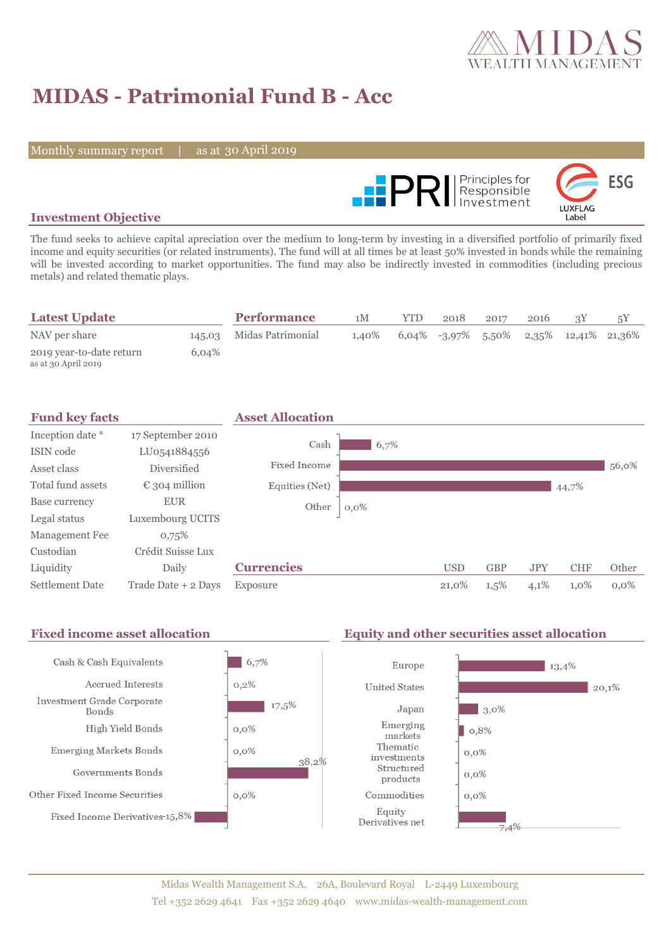

# **MIDAS - Patrimonial Fund B - Acc**

Monthly summary report | as at 30 April 2019



### **Investment Objective**

The fund seeks to achieve capital apreciation over the medium to long-term by investing in a diversified portfolio of primarily fixed income and equity securities (or related instruments). The fund will at all times be at least 50% invested in bonds while the remaining will be invested according to market opportunities. The fund may also be indirectly invested in commodities (including precious metals) and related thematic plays.

| <b>Latest Update</b>                            |       | <b>Performance</b>       | 1M    | YTD. | 2018                                      | 2017 | 2016 |  |
|-------------------------------------------------|-------|--------------------------|-------|------|-------------------------------------------|------|------|--|
| NAV per share                                   |       | 145,03 Midas Patrimonial | 1.40% |      | $6,04\%$ -3,97% 5,50% 2,35% 12,41% 21,36% |      |      |  |
| 2019 year-to-date return<br>as at 30 April 2019 | 6,04% |                          |       |      |                                           |      |      |  |

| <b>Fund key facts</b>  |                        | <b>Asset Allocation</b> |         |            |            |            |            |         |
|------------------------|------------------------|-------------------------|---------|------------|------------|------------|------------|---------|
| Inception date *       | 17 September 2010      |                         |         |            |            |            |            |         |
| ISIN code              | LU0541884556           | Cash                    | 6,7%    |            |            |            |            |         |
| Asset class            | <b>Diversified</b>     | Fixed Income            |         |            |            |            |            | 56,0%   |
| Total fund assets      | $\epsilon$ 304 million | Equities (Net)          |         |            |            |            | 44,7%      |         |
| Base currency          | <b>EUR</b>             | Other                   | $0,0\%$ |            |            |            |            |         |
| Legal status           | Luxembourg UCITS       |                         |         |            |            |            |            |         |
| Management Fee         | 0,75%                  |                         |         |            |            |            |            |         |
| Custodian              | Crédit Suisse Lux      |                         |         |            |            |            |            |         |
| Liquidity              | Daily                  | <b>Currencies</b>       |         | <b>USD</b> | <b>GBP</b> | <b>JPY</b> | <b>CHF</b> | Other   |
| <b>Settlement Date</b> | Trade Date + 2 Days    | Exposure                |         | 21,0%      | $1,5\%$    | 4,1%       | 1,0%       | $0.0\%$ |

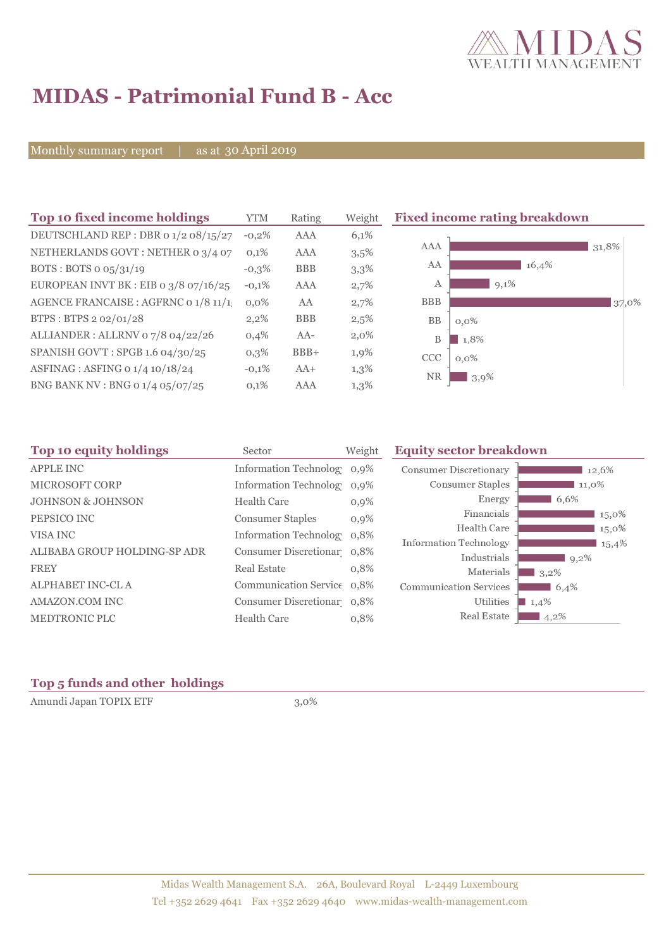

## **MIDAS - Patrimonial Fund B - Acc**

Monthly summary report | as at 30 April 2019

| Top 10 fixed income holdings            | <b>YTM</b> | Rating     | Weight  | <b>Fixed income rating breakdown</b> |
|-----------------------------------------|------------|------------|---------|--------------------------------------|
| DEUTSCHLAND REP : DBR 0 1/2 08/15/27    | $-0.2%$    | AAA        | 6,1%    |                                      |
| NETHERLANDS GOVT: NETHER 0 3/4 07       | 0,1%       | AAA        | 3,5%    | <b>AAA</b><br>31,8%                  |
| BOTS: BOTS $o$ $o5/31/19$               | $-0,3\%$   | <b>BBB</b> | 3,3%    | AA<br>16,4%                          |
| EUROPEAN INVT BK : EIB o $3/8$ o7/16/25 | $-0,1%$    | <b>AAA</b> | 2,7%    | $9,1\%$<br>A                         |
| AGENCE FRANCAISE : AGFRNC 0 1/8 11/1!   | $0.0\%$    | AA         | 2,7%    | <b>BBB</b><br>37,0%                  |
| BTPS: BTPS 2 02/01/28                   | $2,2\%$    | <b>BBB</b> | 2,5%    | <b>BB</b><br>$0,0\%$                 |
| ALLIANDER: ALLRNV 07/8 04/22/26         | 0,4%       | $AA-$      | $2,0\%$ | B<br>1,8%                            |
| SPANISH GOV'T: SPGB 1.6 04/30/25        | $0,3\%$    | $BBB+$     | 1,9%    | <b>CCC</b><br>$0,0\%$                |
| ASFINAG : ASFING 0 1/4 10/18/24         | $-0,1%$    | $AA+$      | $1,3\%$ | <b>NR</b>                            |
| BNG BANK NV : BNG 0 1/4 05/07/25        | 0,1%       | AAA        | $1,3\%$ | 3,9%                                 |

| Top 10 equity holdings<br>Sector |                            | Weight | <b>Equity sector breakdown</b> |         |  |
|----------------------------------|----------------------------|--------|--------------------------------|---------|--|
| <b>APPLE INC</b>                 | Information Technolog 0,9% |        | <b>Consumer Discretionary</b>  | 12,6%   |  |
| MICROSOFT CORP                   | Information Technolog 0,9% |        | Consumer Staples               | 11,0%   |  |
| <b>JOHNSON &amp; JOHNSON</b>     | Health Care                | 0,9%   | Energy                         | 6,6%    |  |
| PEPSICO INC                      | <b>Consumer Staples</b>    | 0,9%   | Financials                     | 15,0%   |  |
| VISA INC                         | Information Technolog 0.8% |        | Health Care                    | 15,0%   |  |
|                                  |                            |        | <b>Information Technology</b>  | 15,4%   |  |
| ALIBABA GROUP HOLDING-SP ADR     | Consumer Discretionar 0,8% |        | Industrials                    | $9,2\%$ |  |
| <b>FREY</b>                      | <b>Real Estate</b>         | 0,8%   | Materials                      | $3,2\%$ |  |
| ALPHABET INC-CL A                | Communication Service 0.8% |        | <b>Communication Services</b>  | 6,4%    |  |
| AMAZON.COM INC                   | Consumer Discretionar 0,8% |        | Utilities                      | 1,4%    |  |
| MEDTRONIC PLC                    | Health Care                | 0,8%   | Real Estate                    | $4,2\%$ |  |

### **Top 5 funds and other holdings**

Amundi Japan TOPIX ETF 3,0%